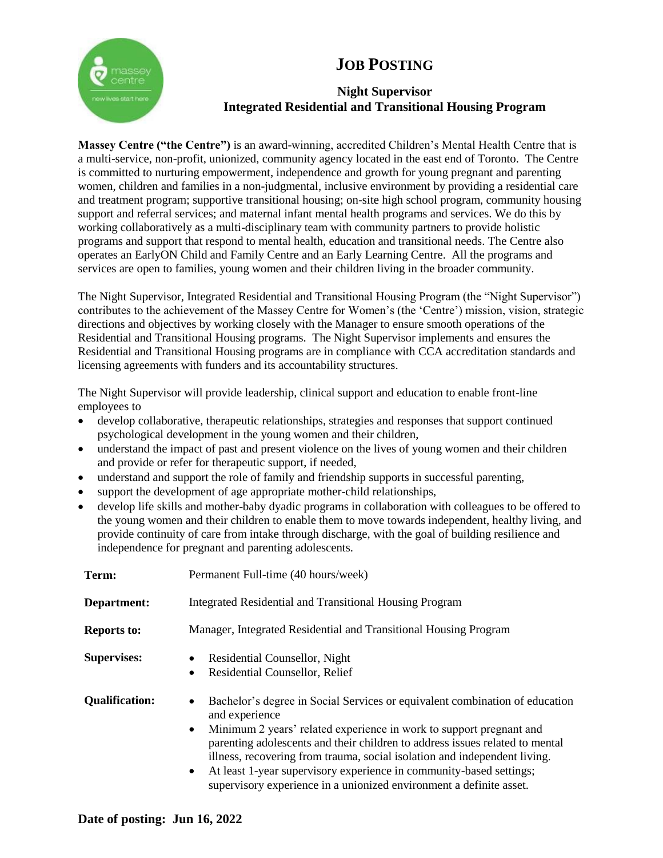## **JOB POSTING**



### **Night Supervisor Integrated Residential and Transitional Housing Program**

**Massey Centre ("the Centre")** is an award-winning, accredited Children's Mental Health Centre that is a multi-service, non-profit, unionized, community agency located in the east end of Toronto. The Centre is committed to nurturing empowerment, independence and growth for young pregnant and parenting women, children and families in a non-judgmental, inclusive environment by providing a residential care and treatment program; supportive transitional housing; on-site high school program, community housing support and referral services; and maternal infant mental health programs and services. We do this by working collaboratively as a multi-disciplinary team with community partners to provide holistic programs and support that respond to mental health, education and transitional needs. The Centre also operates an EarlyON Child and Family Centre and an Early Learning Centre. All the programs and services are open to families, young women and their children living in the broader community.

The Night Supervisor, Integrated Residential and Transitional Housing Program (the "Night Supervisor") contributes to the achievement of the Massey Centre for Women's (the 'Centre') mission, vision, strategic directions and objectives by working closely with the Manager to ensure smooth operations of the Residential and Transitional Housing programs. The Night Supervisor implements and ensures the Residential and Transitional Housing programs are in compliance with CCA accreditation standards and licensing agreements with funders and its accountability structures.

The Night Supervisor will provide leadership, clinical support and education to enable front-line employees to

- develop collaborative, therapeutic relationships, strategies and responses that support continued psychological development in the young women and their children,
- understand the impact of past and present violence on the lives of young women and their children and provide or refer for therapeutic support, if needed,
- understand and support the role of family and friendship supports in successful parenting,
- support the development of age appropriate mother-child relationships,
- develop life skills and mother-baby dyadic programs in collaboration with colleagues to be offered to the young women and their children to enable them to move towards independent, healthy living, and provide continuity of care from intake through discharge, with the goal of building resilience and independence for pregnant and parenting adolescents.

| Term:                 | Permanent Full-time (40 hours/week)                                                                                                                                                                                                                                                                                                                                                                                                                                                                                    |
|-----------------------|------------------------------------------------------------------------------------------------------------------------------------------------------------------------------------------------------------------------------------------------------------------------------------------------------------------------------------------------------------------------------------------------------------------------------------------------------------------------------------------------------------------------|
| Department:           | Integrated Residential and Transitional Housing Program                                                                                                                                                                                                                                                                                                                                                                                                                                                                |
| <b>Reports to:</b>    | Manager, Integrated Residential and Transitional Housing Program                                                                                                                                                                                                                                                                                                                                                                                                                                                       |
| <b>Supervises:</b>    | Residential Counsellor, Night<br>$\bullet$<br>Residential Counsellor, Relief<br>$\bullet$                                                                                                                                                                                                                                                                                                                                                                                                                              |
| <b>Qualification:</b> | Bachelor's degree in Social Services or equivalent combination of education<br>$\bullet$<br>and experience<br>Minimum 2 years' related experience in work to support pregnant and<br>$\bullet$<br>parenting adolescents and their children to address issues related to mental<br>illness, recovering from trauma, social isolation and independent living.<br>At least 1-year supervisory experience in community-based settings;<br>$\bullet$<br>supervisory experience in a unionized environment a definite asset. |